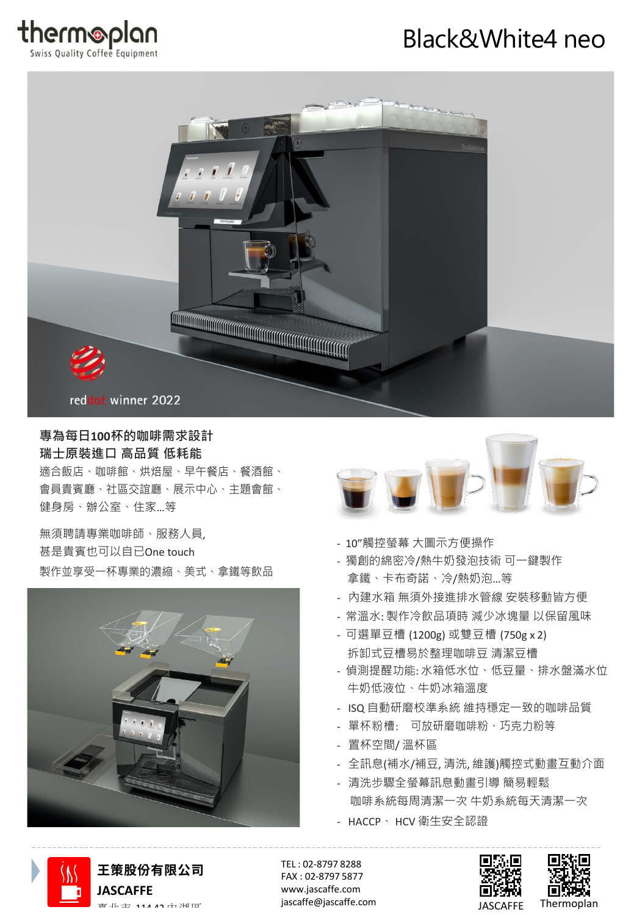

# Black&White4 neo



#### **專為每日100杯的咖啡需求設計 瑞士原裝進口 高品質 低耗能**

適合飯店、咖啡館、烘焙屋、早午餐店、餐酒館、 會員貴賓廳、社區交誼廳、展示中心、主題會館、 健身房、辦公室、住家…等

無須聘請專業咖啡師、服務人員, 甚是貴賓也可以自已One touch 製作並享受一杯專業的濃縮、美式、拿鐵等飲品





- 10"觸控螢幕 大圖示方便操作
- 獨創的綿密冷/熱牛奶發泡技術 可一鍵製作 拿鐵、卡布奇諾、冷/熱奶泡…等
- 內建水箱 無須外接進排水管線 安裝移動皆方便
- 常溫水: 製作冷飲品項時 減少冰塊量 以保留風味
- 可選單豆槽 (1200g) 或雙豆槽 (750g x 2) 拆卸式豆槽易於整理咖啡豆 清潔豆槽
- 偵測提醒功能: 水箱低水位、低豆量、排水盤滿水位 牛奶低液位、牛奶冰箱溫度
- ISQ 自動研磨校準系統 維持穩定一致的咖啡品質
- 單杯粉槽: 可放研磨咖啡粉、巧克力粉等
- 置杯空間/ 溫杯區
- 全訊息(補水/補豆, 清洗, 維護)觸控式動畫互動介面
- 清洗步驟全螢幕訊息動畫引導 簡易輕鬆 咖啡系統每周清潔一次 牛奶系統每天清潔一次
- HACCP、 HCV 衛生安全認證



[jascaffe@jascaffe.com](mailto:jascaffe@jascaffe.com) 臺北市 <sup>114</sup> <sup>42</sup> 內湖區 JASCAFFE Thermoplan **王策股份有限公司 JASCAFFE**

TEL : 02-8797 8288 FAX : 02-8797 5877 [www.jascaffe.com](http://www.jascaffe.com/)